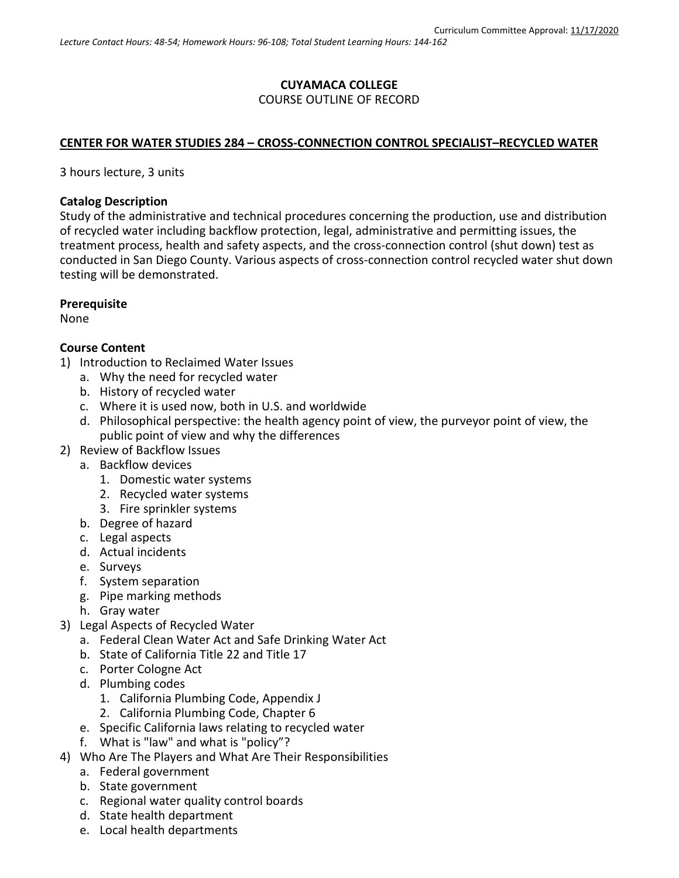# **CUYAMACA COLLEGE** COURSE OUTLINE OF RECORD

### **CENTER FOR WATER STUDIES 284 – CROSS-CONNECTION CONTROL SPECIALIST–RECYCLED WATER**

3 hours lecture, 3 units

#### **Catalog Description**

Study of the administrative and technical procedures concerning the production, use and distribution of recycled water including backflow protection, legal, administrative and permitting issues, the treatment process, health and safety aspects, and the cross-connection control (shut down) test as conducted in San Diego County. Various aspects of cross-connection control recycled water shut down testing will be demonstrated.

#### **Prerequisite**

None

#### **Course Content**

- 1) Introduction to Reclaimed Water Issues
	- a. Why the need for recycled water
	- b. History of recycled water
	- c. Where it is used now, both in U.S. and worldwide
	- d. Philosophical perspective: the health agency point of view, the purveyor point of view, the public point of view and why the differences
- 2) Review of Backflow Issues
	- a. Backflow devices
		- 1. Domestic water systems
		- 2. Recycled water systems
		- 3. Fire sprinkler systems
	- b. Degree of hazard
	- c. Legal aspects
	- d. Actual incidents
	- e. Surveys
	- f. System separation
	- g. Pipe marking methods
	- h. Gray water
- 3) Legal Aspects of Recycled Water
	- a. Federal Clean Water Act and Safe Drinking Water Act
	- b. State of California Title 22 and Title 17
	- c. Porter Cologne Act
	- d. Plumbing codes
		- 1. California Plumbing Code, Appendix J
		- 2. California Plumbing Code, Chapter 6
	- e. Specific California laws relating to recycled water
	- f. What is "law" and what is "policy"?
- 4) Who Are The Players and What Are Their Responsibilities
	- a. Federal government
	- b. State government
	- c. Regional water quality control boards
	- d. State health department
	- e. Local health departments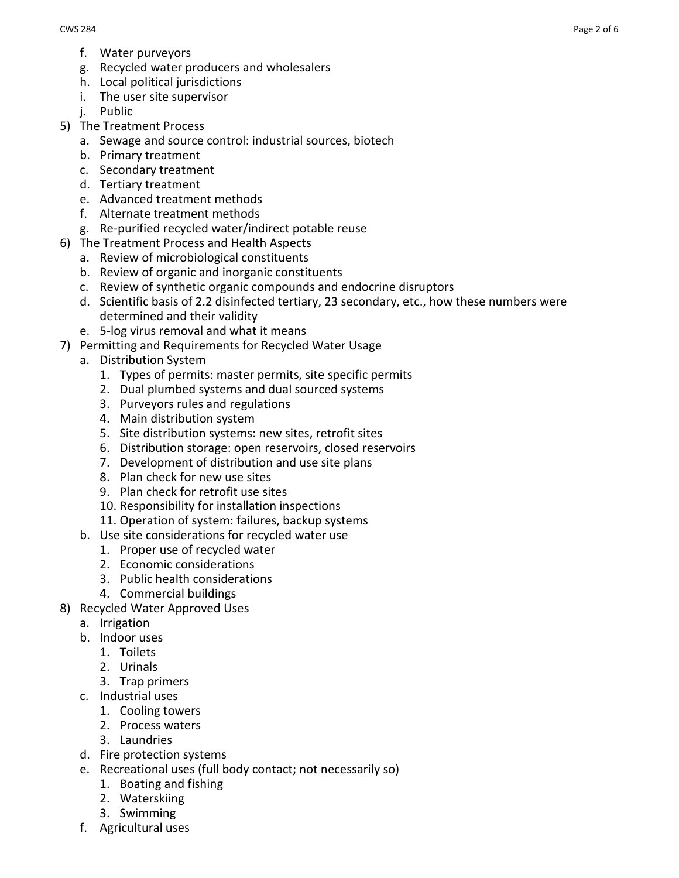- f. Water purveyors
- g. Recycled water producers and wholesalers
- h. Local political jurisdictions
- i. The user site supervisor
- i. Public
- 5) The Treatment Process
	- a. Sewage and source control: industrial sources, biotech
	- b. Primary treatment
	- c. Secondary treatment
	- d. Tertiary treatment
	- e. Advanced treatment methods
	- f. Alternate treatment methods
	- g. Re-purified recycled water/indirect potable reuse
- 6) The Treatment Process and Health Aspects
	- a. Review of microbiological constituents
	- b. Review of organic and inorganic constituents
	- c. Review of synthetic organic compounds and endocrine disruptors
	- d. Scientific basis of 2.2 disinfected tertiary, 23 secondary, etc., how these numbers were determined and their validity
	- e. 5-log virus removal and what it means
- 7) Permitting and Requirements for Recycled Water Usage
	- a. Distribution System
		- 1. Types of permits: master permits, site specific permits
		- 2. Dual plumbed systems and dual sourced systems
		- 3. Purveyors rules and regulations
		- 4. Main distribution system
		- 5. Site distribution systems: new sites, retrofit sites
		- 6. Distribution storage: open reservoirs, closed reservoirs
		- 7. Development of distribution and use site plans
		- 8. Plan check for new use sites
		- 9. Plan check for retrofit use sites
		- 10. Responsibility for installation inspections
		- 11. Operation of system: failures, backup systems
		- b. Use site considerations for recycled water use
			- 1. Proper use of recycled water
			- 2. Economic considerations
			- 3. Public health considerations
			- 4. Commercial buildings
- 8) Recycled Water Approved Uses
	- a. Irrigation
	- b. Indoor uses
		- 1. Toilets
		- 2. Urinals
		- 3. Trap primers
	- c. Industrial uses
		- 1. Cooling towers
		- 2. Process waters
		- 3. Laundries
	- d. Fire protection systems
	- e. Recreational uses (full body contact; not necessarily so)
		- 1. Boating and fishing
		- 2. Waterskiing
		- 3. Swimming
	- f. Agricultural uses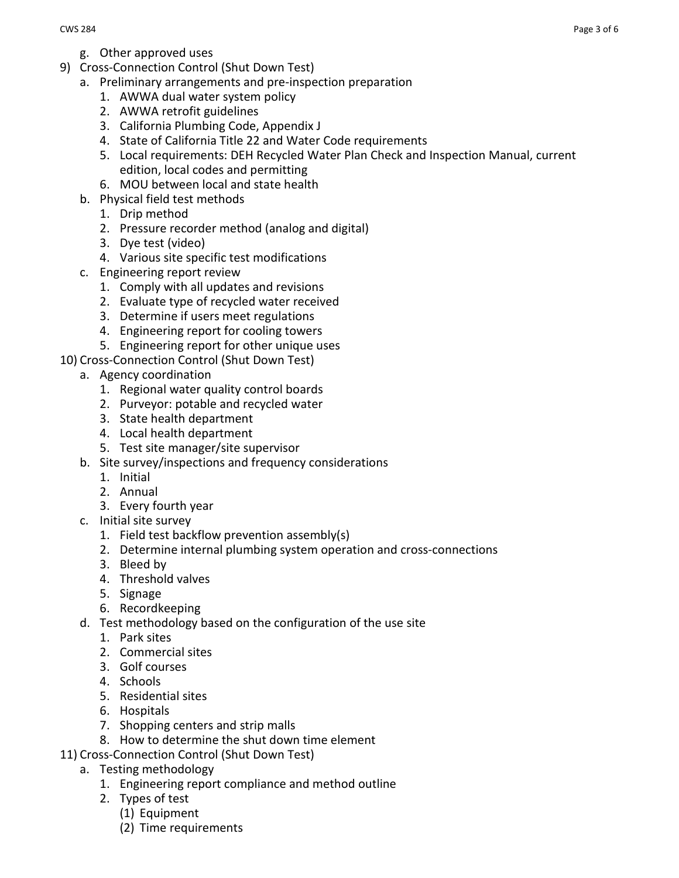- g. Other approved uses
- 9) Cross-Connection Control (Shut Down Test)
	- a. Preliminary arrangements and pre-inspection preparation
		- 1. AWWA dual water system policy
		- 2. AWWA retrofit guidelines
		- 3. California Plumbing Code, Appendix J
		- 4. State of California Title 22 and Water Code requirements
		- 5. Local requirements: DEH Recycled Water Plan Check and Inspection Manual, current edition, local codes and permitting
		- 6. MOU between local and state health
		- b. Physical field test methods
			- 1. Drip method
			- 2. Pressure recorder method (analog and digital)
			- 3. Dye test (video)
			- 4. Various site specific test modifications
		- c. Engineering report review
			- 1. Comply with all updates and revisions
			- 2. Evaluate type of recycled water received
			- 3. Determine if users meet regulations
			- 4. Engineering report for cooling towers
			- 5. Engineering report for other unique uses
- 10) Cross-Connection Control (Shut Down Test)
	- a. Agency coordination
		- 1. Regional water quality control boards
		- 2. Purveyor: potable and recycled water
		- 3. State health department
		- 4. Local health department
		- 5. Test site manager/site supervisor
	- b. Site survey/inspections and frequency considerations
		- 1. Initial
		- 2. Annual
		- 3. Every fourth year
	- c. Initial site survey
		- 1. Field test backflow prevention assembly(s)
		- 2. Determine internal plumbing system operation and cross-connections
		- 3. Bleed by
		- 4. Threshold valves
		- 5. Signage
		- 6. Recordkeeping
	- d. Test methodology based on the configuration of the use site
		- 1. Park sites
		- 2. Commercial sites
		- 3. Golf courses
		- 4. Schools
		- 5. Residential sites
		- 6. Hospitals
		- 7. Shopping centers and strip malls
		- 8. How to determine the shut down time element
- 11) Cross-Connection Control (Shut Down Test)
	- a. Testing methodology
		- 1. Engineering report compliance and method outline
		- 2. Types of test
			- (1) Equipment
			- (2) Time requirements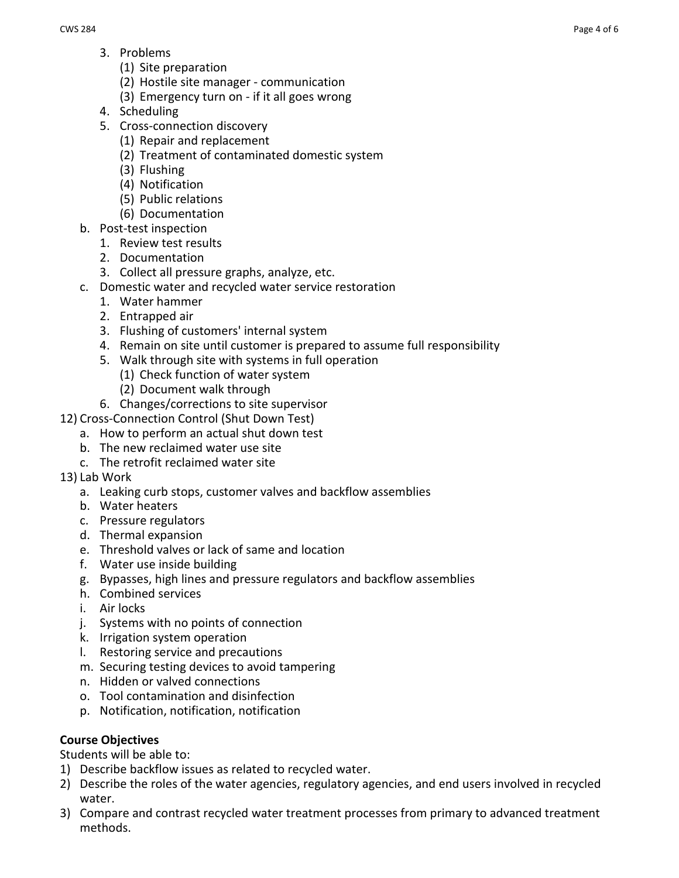- 3. Problems
	- (1) Site preparation
	- (2) Hostile site manager communication
	- (3) Emergency turn on if it all goes wrong
- 4. Scheduling
- 5. Cross-connection discovery
	- (1) Repair and replacement
		- (2) Treatment of contaminated domestic system
		- (3) Flushing
		- (4) Notification
		- (5) Public relations
	- (6) Documentation
- b. Post-test inspection
	- 1. Review test results
	- 2. Documentation
	- 3. Collect all pressure graphs, analyze, etc.
- c. Domestic water and recycled water service restoration
	- 1. Water hammer
	- 2. Entrapped air
	- 3. Flushing of customers' internal system
	- 4. Remain on site until customer is prepared to assume full responsibility
	- 5. Walk through site with systems in full operation
		- (1) Check function of water system
		- (2) Document walk through
- 6. Changes/corrections to site supervisor
- 12) Cross-Connection Control (Shut Down Test)
	- a. How to perform an actual shut down test
	- b. The new reclaimed water use site
	- c. The retrofit reclaimed water site
- 13) Lab Work
	- a. Leaking curb stops, customer valves and backflow assemblies
	- b. Water heaters
	- c. Pressure regulators
	- d. Thermal expansion
	- e. Threshold valves or lack of same and location
	- f. Water use inside building
	- g. Bypasses, high lines and pressure regulators and backflow assemblies
	- h. Combined services
	- i. Air locks
	- j. Systems with no points of connection
	- k. Irrigation system operation
	- l. Restoring service and precautions
	- m. Securing testing devices to avoid tampering
	- n. Hidden or valved connections
	- o. Tool contamination and disinfection
	- p. Notification, notification, notification

## **Course Objectives**

Students will be able to:

- 1) Describe backflow issues as related to recycled water.
- 2) Describe the roles of the water agencies, regulatory agencies, and end users involved in recycled water.
- 3) Compare and contrast recycled water treatment processes from primary to advanced treatment methods.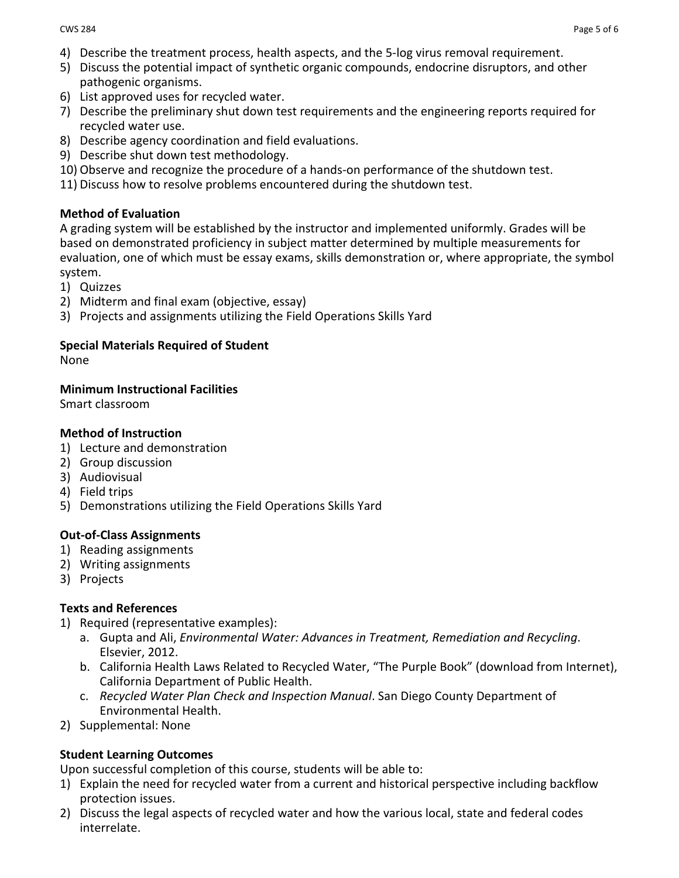- 4) Describe the treatment process, health aspects, and the 5-log virus removal requirement.
- 5) Discuss the potential impact of synthetic organic compounds, endocrine disruptors, and other pathogenic organisms.
- 6) List approved uses for recycled water.
- 7) Describe the preliminary shut down test requirements and the engineering reports required for recycled water use.
- 8) Describe agency coordination and field evaluations.
- 9) Describe shut down test methodology.
- 10) Observe and recognize the procedure of a hands-on performance of the shutdown test.
- 11) Discuss how to resolve problems encountered during the shutdown test.

### **Method of Evaluation**

A grading system will be established by the instructor and implemented uniformly. Grades will be based on demonstrated proficiency in subject matter determined by multiple measurements for evaluation, one of which must be essay exams, skills demonstration or, where appropriate, the symbol system.

- 1) Quizzes
- 2) Midterm and final exam (objective, essay)
- 3) Projects and assignments utilizing the Field Operations Skills Yard

## **Special Materials Required of Student**

None

### **Minimum Instructional Facilities**

Smart classroom

### **Method of Instruction**

- 1) Lecture and demonstration
- 2) Group discussion
- 3) Audiovisual
- 4) Field trips
- 5) Demonstrations utilizing the Field Operations Skills Yard

#### **Out-of-Class Assignments**

- 1) Reading assignments
- 2) Writing assignments
- 3) Projects

## **Texts and References**

- 1) Required (representative examples):
	- a. Gupta and Ali, *Environmental Water: Advances in Treatment, Remediation and Recycling*. Elsevier, 2012.
	- b. California Health Laws Related to Recycled Water, "The Purple Book" (download from Internet), California Department of Public Health.
	- c. *Recycled Water Plan Check and Inspection Manual*. San Diego County Department of Environmental Health.
- 2) Supplemental: None

## **Student Learning Outcomes**

Upon successful completion of this course, students will be able to:

- 1) Explain the need for recycled water from a current and historical perspective including backflow protection issues.
- 2) Discuss the legal aspects of recycled water and how the various local, state and federal codes interrelate.